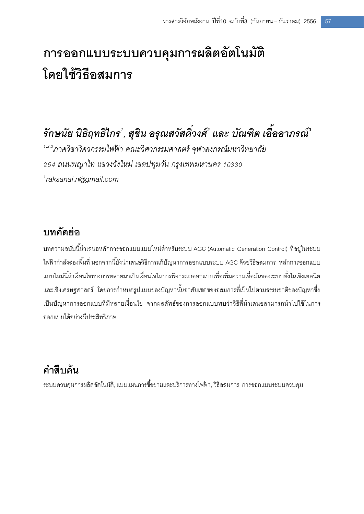# **การออกแบบระบบควบคุมการผลิตอัตโนมัติ โดยใช้วิธีอสมการ**

# *รักษนัย นิธิฤทธิไกร<sup>1</sup> , สุชิน อรุณสวัสดวิ์ งศ ์ 2 และ บัณฑิต เอื้ออาภรณ ์ 3*

*1,2,3ภาควิชาวิศวกรรมไฟฟ้ า คณะวิศวกรรมศาสตร์ จุฬาลงกรณ์มหาวิทยาลัย 254 ถนนพญาไท แขวงวังใหม่ เขตปทุมวัน กรุงเทพมหานคร 10330 1 raksanai.n@gmail.com*

### **บทคัดย่อ**

บทความฉบับนี้นำเสนอหลักการออกแบบแบบใหม่สำหรับระบบ AGC (Automatic Generation Control) ที่อยู่ในระบบ ี ไฟฟ้ากำลังสองพื้นที่ นอกจากนี้ยังนำเสนอวิธีการแก้ปัญหาการออกแบบระบบ AGC ด้วยวิธีอสมการ หลักการออกแบบ แบบใหม่นี้นำเงื่อนไขทางการตลาดมาเป็นเงื่อนไขในการพิจารณาออกแบบเพื่อเพิ่มความเชื่อมั่นของระบบทั้งในเชิงเทคนิค และเชิงเศรษฐศาสตร์ โดยการกำหนดรูปแบบของปัญหานั้นอาศัยเซตของอสมการที่เป็นไปตามธรรมชาติของปัญหาซึ่ง เป็นปัญหาการออกแบบที่มีหลายเงื่อนไข จากผลลัพธ์ของการออกแบบพบว่าวิธีที่นำเสนอสามารถนำไปใช้ในการ ออกแบบได้อย่างมีประสิทธิภาพ

### **ค าสืบค้น**

ระบบควบคมการผลิตอัตโนมัติ, แบบแผนการซื้อขายและบริการทางไฟฟ้า, วิธีอสมการ, การออกแบบระบบควบคม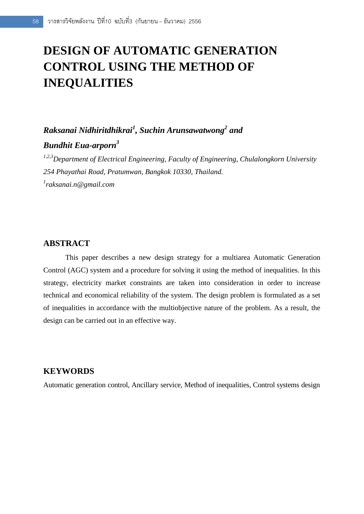## **DESIGN OF AUTOMATIC GENERATION CONTROL USING THE METHOD OF INEQUALITIES**

### *Raksanai Nidhiritdhikrai<sup>1</sup> , Suchin Arunsawatwong<sup>2</sup> and*

#### *Bundhit Eua-arporn<sup>3</sup>*

*1,2,3Department of Electrical Engineering, Faculty of Engineering, Chulalongkorn University 254 Phayathai Road, Pratumwan, Bangkok 10330, Thailand. 1 raksanai.n@gmail.com*

#### **ABSTRACT**

This paper describes a new design strategy for a multiarea Automatic Generation Control (AGC) system and a procedure for solving it using the method of inequalities. In this strategy, electricity market constraints are taken into consideration in order to increase technical and economical reliability of the system. The design problem is formulated as a set of inequalities in accordance with the multiobjective nature of the problem. As a result, the design can be carried out in an effective way.

#### **KEYWORDS**

Automatic generation control, Ancillary service, Method of inequalities, Control systems design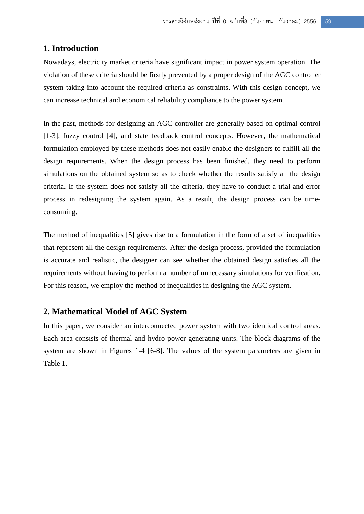#### **1. Introduction**

Nowadays, electricity market criteria have significant impact in power system operation. The violation of these criteria should be firstly prevented by a proper design of the AGC controller system taking into account the required criteria as constraints. With this design concept, we can increase technical and economical reliability compliance to the power system.

In the past, methods for designing an AGC controller are generally based on optimal control [1-3], fuzzy control [4], and state feedback control concepts. However, the mathematical formulation employed by these methods does not easily enable the designers to fulfill all the design requirements. When the design process has been finished, they need to perform simulations on the obtained system so as to check whether the results satisfy all the design criteria. If the system does not satisfy all the criteria, they have to conduct a trial and error process in redesigning the system again. As a result, the design process can be timeconsuming.

The method of inequalities [5] gives rise to a formulation in the form of a set of inequalities that represent all the design requirements. After the design process, provided the formulation is accurate and realistic, the designer can see whether the obtained design satisfies all the requirements without having to perform a number of unnecessary simulations for verification. For this reason, we employ the method of inequalities in designing the AGC system.

#### **2. Mathematical Model of AGC System**

In this paper, we consider an interconnected power system with two identical control areas. Each area consists of thermal and hydro power generating units. The block diagrams of the system are shown in Figures 1-4 [6-8]. The values of the system parameters are given in Table 1.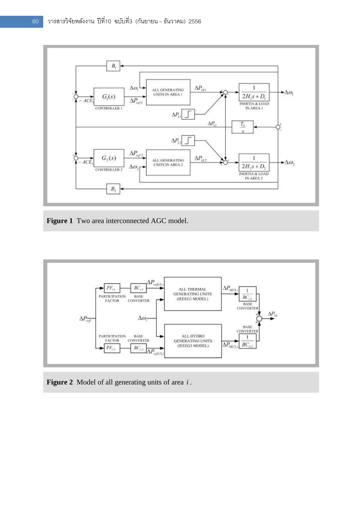

**Figure 1** Two area interconnected AGC model.



**Figure 2** Model of all generating units of area *i* .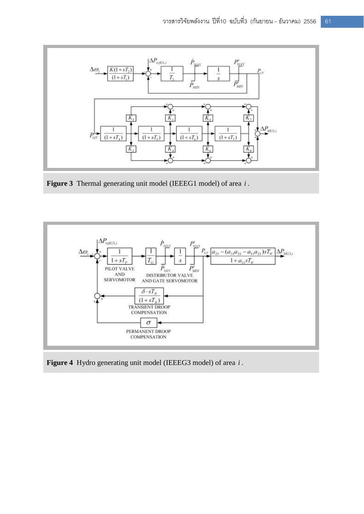

**Figure 3** Thermal generating unit model (IEEEG1 model) of area *i* .



**Figure 4** Hydro generating unit model (IEEEG3 model) of area *i* .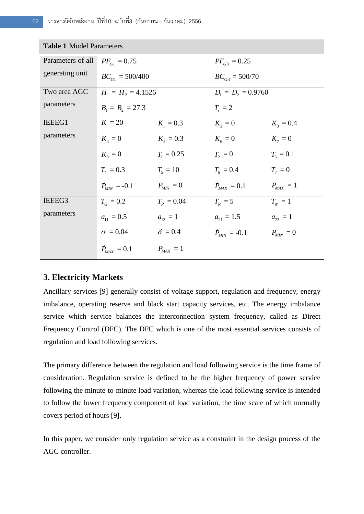| <b>Table 1 Model Parameters</b> |                               |                |                       |               |  |  |  |
|---------------------------------|-------------------------------|----------------|-----------------------|---------------|--|--|--|
| Parameters of all               | $PF_{G1} = 0.75$              |                | $PF_{G3} = 0.25$      |               |  |  |  |
| generating unit                 | $BC_{G1} = 500/400$           |                | $BC_{G3} = 500/70$    |               |  |  |  |
| Two area AGC                    | $H_1 = H_2 = 4.1526$          |                | $D_1 = D_2 = 0.9760$  |               |  |  |  |
| parameters                      | $B_1 = B_2 = 27.3$            |                | $T_{\rm s}=2$         |               |  |  |  |
| IEEEG1                          | $K = 20$                      | $K_1 = 0.3$    | $K_2 = 0$             | $K_{3} = 0.4$ |  |  |  |
| parameters                      | $K_4=0$                       | $K_5 = 0.3$    | $K_6 = 0$             | $K_7 = 0$     |  |  |  |
|                                 | $K_{\rm s}=0$                 | $T_1 = 0.25$   | $T2 = 0$              | $T_{3} = 0.1$ |  |  |  |
|                                 | $T_{A} = 0.3$                 | $T_5 = 10$     | $T_6 = 0.4$           | $T_7 = 0$     |  |  |  |
|                                 | $\dot{P}_{\text{MIN}} = -0.1$ | $P_{MIN} = 0$  | $\dot{P}_{MAX} = 0.1$ | $P_{MAX} = 1$ |  |  |  |
| IEEEG3                          | $T_c = 0.2$                   | $T_p = 0.04$   | $T_R = 5$             | $T_{\rm w}=1$ |  |  |  |
| parameters                      | $a_{11} = 0.5$                | $a_{13} = 1$   | $a_{21} = 1.5$        | $a_{23} = 1$  |  |  |  |
|                                 | $\sigma = 0.04$               | $\delta = 0.4$ | $P_{MIN} = -0.1$      | $P_{MN}=0$    |  |  |  |
|                                 | $\dot{P}_{\text{max}}=0.1$    | $P_{MAX} = 1$  |                       |               |  |  |  |

#### **Table 1** Model Parameters

#### **3. Electricity Markets**

Ancillary services [9] generally consist of voltage support, regulation and frequency, energy imbalance, operating reserve and black start capacity services, etc. The energy imbalance service which service balances the interconnection system frequency, called as Direct Frequency Control (DFC). The DFC which is one of the most essential services consists of regulation and load following services.

The primary difference between the regulation and load following service is the time frame of consideration. Regulation service is defined to be the higher frequency of power service following the minute-to-minute load variation, whereas the load following service is intended to follow the lower frequency component of load variation, the time scale of which normally covers period of hours [9].

In this paper, we consider only regulation service as a constraint in the design process of the AGC controller.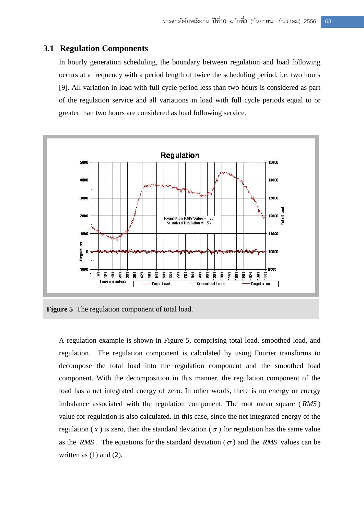#### **3.1 Regulation Components**

In hourly generation scheduling, the boundary between regulation and load following occurs at a frequency with a period length of twice the scheduling period, i.e. two hours [9]. All variation in load with full cycle period less than two hours is considered as part of the regulation service and all variations in load with full cycle periods equal to or greater than two hours are considered as load following service.



**Figure 5** The regulation component of total load.

A regulation example is shown in Figure 5, comprising total load, smoothed load, and regulation. The regulation component is calculated by using Fourier transforms to decompose the total load into the regulation component and the smoothed load component. With the decomposition in this manner, the regulation component of the load has a net integrated energy of zero. In other words, there is no energy or energy imbalance associated with the regulation component. The root mean square ( *RMS* ) value for regulation is also calculated. In this case, since the net integrated energy of the regulation ( $\bar{x}$ ) is zero, then the standard deviation ( $\sigma$ ) for regulation has the same value as the *RMS*. The equations for the standard deviation ( $\sigma$ ) and the *RMS* values can be written as  $(1)$  and  $(2)$ .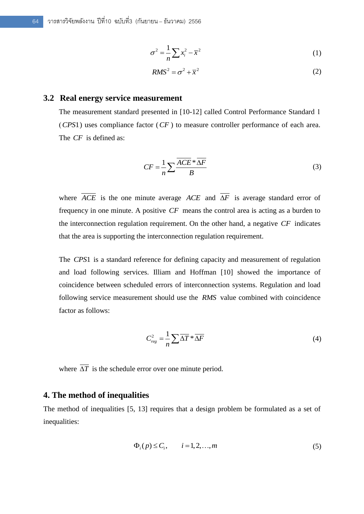$$
\sigma^2 = \frac{1}{n} \sum x_i^2 - \overline{x}^2 \tag{1}
$$

$$
RMS^2 = \sigma^2 + \overline{x}^2 \tag{2}
$$

#### **3.2 Real energy service measurement**

The measurement standard presented in [10-12] called Control Performance Standard 1 ( *CPS*1 ) uses compliance factor ( *CF* ) to measure controller performance of each area. The *CF* is defined as:

$$
CF = \frac{1}{n} \sum \frac{\overline{ACE} \cdot \overline{\Delta F}}{B} \tag{3}
$$

where  $ACE$  is the one minute average  $ACE$  and  $\Delta F$  is average standard error of frequency in one minute. A positive *CF* means the control area is acting as a burden to the interconnection regulation requirement. On the other hand, a negative *CF* indicates that the area is supporting the interconnection regulation requirement.

The *CPS*1 is a standard reference for defining capacity and measurement of regulation and load following services. Illiam and Hoffman [10] showed the importance of coincidence between scheduled errors of interconnection systems. Regulation and load following service measurement should use the *RMS* value combined with coincidence factor as follows:

$$
C_{reg}^2 = \frac{1}{n} \sum \overline{\Delta T} * \overline{\Delta F}
$$
 (4)

where  $\Delta T$  is the schedule error over one minute period.

#### **4. The method of inequalities**

The method of inequalities [5, 13] requires that a design problem be formulated as a set of inequalities:

$$
\Phi_i(p) \le C_i, \qquad i = 1, 2, \dots, m \tag{5}
$$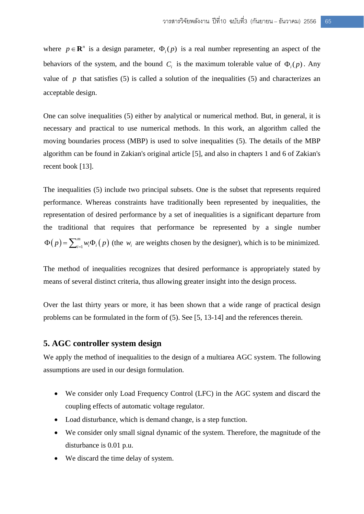where  $p \in \mathbb{R}^n$  is a design parameter,  $\Phi_i(p)$  is a real number representing an aspect of the behaviors of the system, and the bound  $C_i$  is the maximum tolerable value of  $\Phi_i(p)$ . Any value of  $p$  that satisfies (5) is called a solution of the inequalities (5) and characterizes an acceptable design.

One can solve inequalities (5) either by analytical or numerical method. But, in general, it is necessary and practical to use numerical methods. In this work, an algorithm called the moving boundaries process (MBP) is used to solve inequalities (5). The details of the MBP algorithm can be found in Zakian's original article [5], and also in chapters 1 and 6 of Zakian's recent book [13].

The inequalities (5) include two principal subsets. One is the subset that represents required performance. Whereas constraints have traditionally been represented by inequalities, the representation of desired performance by a set of inequalities is a significant departure from the traditional that requires that performance be represented by a single number  $(p) = \sum_{i=1}^{m} w_i \Phi_i(p)$  $\Phi(p) = \sum_{i=1}^{m} w_i \Phi_i(p)$  (the  $w_i$  are weights chosen by the designer), which is to be minimized.

The method of inequalities recognizes that desired performance is appropriately stated by means of several distinct criteria, thus allowing greater insight into the design process.

Over the last thirty years or more, it has been shown that a wide range of practical design problems can be formulated in the form of (5). See [5, 13-14] and the references therein.

#### **5. AGC controller system design**

We apply the method of inequalities to the design of a multiarea AGC system. The following assumptions are used in our design formulation.

- We consider only Load Frequency Control (LFC) in the AGC system and discard the coupling effects of automatic voltage regulator.
- Load disturbance, which is demand change, is a step function.
- We consider only small signal dynamic of the system. Therefore, the magnitude of the disturbance is 0.01 p.u.
- We discard the time delay of system.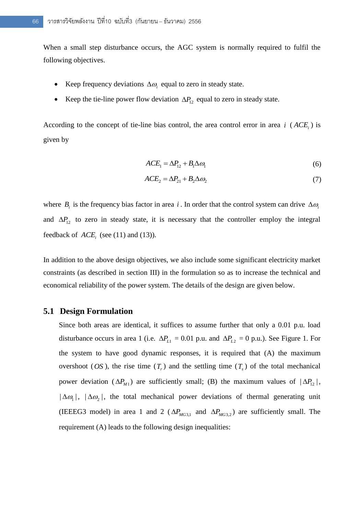When a small step disturbance occurs, the AGC system is normally required to fulfil the following objectives.

- Exerp frequency deviations  $\Delta \omega_i$  equal to zero in steady state.
- Exercise Keep the tie-line power flow deviation  $\Delta P_{12}$  equal to zero in steady state.

According to the concept of tie-line bias control, the area control error in area  $i$  ( $ACE<sub>i</sub>$ ) is given by

$$
ACE1 = \Delta P12 + B1\Delta \omega1
$$
 (6)

$$
ACE2 = \Delta P21 + B2\Delta \omega2
$$
 (7)

where  $B_i$  is the frequency bias factor in area i. In order that the control system can drive  $\Delta \omega_i$ and  $\Delta P_{12}$  to zero in steady state, it is necessary that the controller employ the integral feedback of  $ACE<sub>i</sub>$  (see (11) and (13)).

In addition to the above design objectives, we also include some significant electricity market constraints (as described in section III) in the formulation so as to increase the technical and economical reliability of the power system. The details of the design are given below.

#### **5.1 Design Formulation**

Since both areas are identical, it suffices to assume further that only a 0.01 p.u. load disturbance occurs in area 1 (i.e.  $\Delta P_{L1} = 0.01$  p.u. and  $\Delta P_{L2} = 0$  p.u.). See Figure 1. For the system to have good dynamic responses, it is required that (A) the maximum overshoot (*OS*), the rise time  $(T_r)$  and the settling time  $(T_s)$  of the total mechanical power deviation ( $\Delta P$ <sub>*M*1</sub>) are sufficiently small; (B) the maximum values of  $|\Delta P$ <sub>12</sub>,  $|\Delta \omega_1|$ ,  $|\Delta \omega_2|$ , the total mechanical power deviations of thermal generating unit (IEEEG3 model) in area 1 and 2 ( $\Delta P_{MG3,1}$  and  $\Delta P_{MG3,2}$ ) are sufficiently small. The requirement (A) leads to the following design inequalities: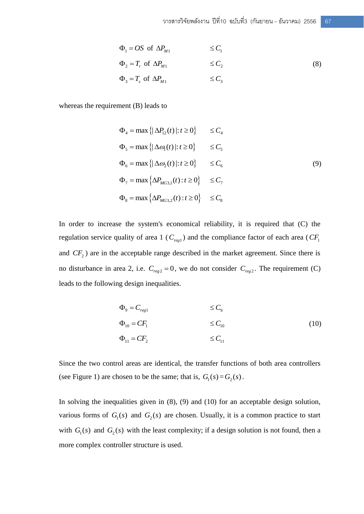$$
\Phi_1 = OS \text{ of } \Delta P_{M1} \le C_1
$$
\n
$$
\Phi_2 = T_r \text{ of } \Delta P_{M1} \le C_2
$$
\n
$$
\Phi_3 = T_s \text{ of } \Delta P_{M1} \le C_3 \tag{8}
$$

whereas the requirement (B) leads to

$$
\Phi_4 = \max \{ |\Delta P_{12}(t)| : t \ge 0 \} \le C_4
$$
  
\n
$$
\Phi_5 = \max \{ |\Delta \omega_1(t)| : t \ge 0 \} \le C_5
$$
  
\n
$$
\Phi_6 = \max \{ |\Delta \omega_2(t)| : t \ge 0 \} \le C_6
$$
  
\n
$$
\Phi_7 = \max \{ \Delta P_{MG3,1}(t) : t \ge 0 \} \le C_7
$$
  
\n
$$
\Phi_8 = \max \{ \Delta P_{MG3,2}(t) : t \ge 0 \} \le C_8
$$
 (9)

In order to increase the system's economical reliability, it is required that (C) the regulation service quality of area 1 ( $C_{reg1}$ ) and the compliance factor of each area ( $CF_1$ ) and  $CF<sub>2</sub>$ ) are in the acceptable range described in the market agreement. Since there is no disturbance in area 2, i.e.  $C_{reg2} = 0$ , we do not consider  $C_{reg2}$ . The requirement (C) leads to the following design inequalities.

$$
\Phi_9 = C_{reg1} \qquad \leq C_9
$$
\n
$$
\Phi_{10} = CF_1 \qquad \leq C_{10}
$$
\n
$$
\Phi_{11} = CF_2 \qquad \leq C_{11}
$$
\n(10)

Since the two control areas are identical, the transfer functions of both area controllers (see Figure 1) are chosen to be the same; that is,  $G_1(s) = G_2(s)$ .

In solving the inequalities given in (8), (9) and (10) for an acceptable design solution, various forms of  $G_1(s)$  and  $G_2(s)$  are chosen. Usually, it is a common practice to start with  $G_1(s)$  and  $G_2(s)$  with the least complexity; if a design solution is not found, then a more complex controller structure is used.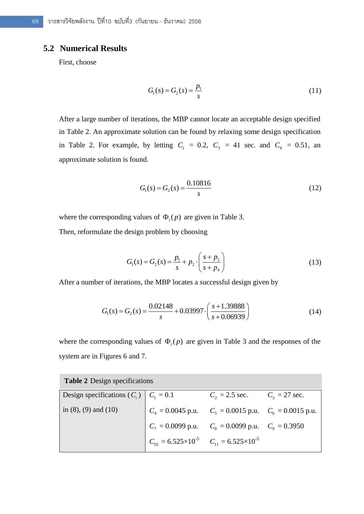#### **5.2 Numerical Results**

First, choose

$$
G_1(s) = G_2(s) = \frac{p_1}{s}
$$
 (11)

After a large number of iterations, the MBP cannot locate an acceptable design specified in Table 2. An approximate solution can be found by relaxing some design specification in Table 2. For example, by letting  $C_1 = 0.2$ ,  $C_3 = 41$  sec. and  $C_9 = 0.51$ , an approximate solution is found.

$$
G_1(s) = G_2(s) = \frac{0.10816}{s}
$$
 (12)

where the corresponding values of  $\Phi_i(p)$  are given in Table 3.

Then, reformulate the design problem by choosing

$$
G_1(s) = G_2(s) = \frac{p_1}{s} + p_2 \cdot \left(\frac{s + p_3}{s + p_4}\right)
$$
 (13)

After a number of iterations, the MBP locates a successful design given by

$$
G_1(s) = G_2(s) = \frac{0.02148}{s} + 0.03997 \cdot \left(\frac{s + 1.39888}{s + 0.06939}\right)
$$
(14)

where the corresponding values of  $\Phi_i(p)$  are given in Table 3 and the responses of the system are in Figures 6 and 7.

| <b>Table 2</b> Design specifications      |                                                                 |                                  |  |  |  |  |
|-------------------------------------------|-----------------------------------------------------------------|----------------------------------|--|--|--|--|
| Design specifications $(C_i)$ $C_1 = 0.1$ |                                                                 | $C_2 = 2.5$ sec. $C_3 = 27$ sec. |  |  |  |  |
| in $(8)$ , $(9)$ and $(10)$               | $C_4 = 0.0045$ p.u. $C_5 = 0.0015$ p.u. $C_6 = 0.0015$ p.u.     |                                  |  |  |  |  |
|                                           | $C_7 = 0.0099$ p.u. $C_8 = 0.0099$ p.u. $C_9 = 0.3950$          |                                  |  |  |  |  |
|                                           | $C_{10} = 6.525 \times 10^{-5}$ $C_{11} = 6.525 \times 10^{-5}$ |                                  |  |  |  |  |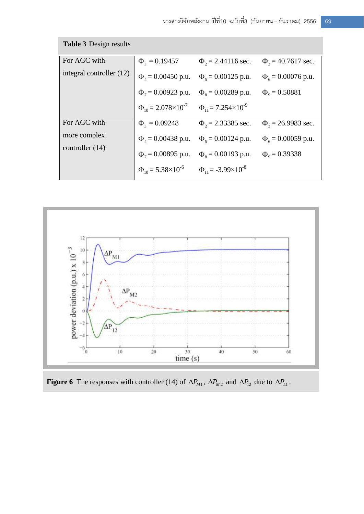| <b>Table 3 Design results</b>     |                                    |                                    |                           |  |  |  |
|-----------------------------------|------------------------------------|------------------------------------|---------------------------|--|--|--|
| For AGC with                      | $\Phi_1 = 0.19457$                 | $\Phi_2$ = 2.44116 sec.            | $\Phi_3 = 40.7617$ sec.   |  |  |  |
| integral controller (12)          | $\Phi_4 = 0.00450$ p.u.            | $\Phi_5 = 0.00125$ p.u.            | $\Phi_{6} = 0.00076$ p.u. |  |  |  |
|                                   | $\Phi_7 = 0.00923$ p.u.            | $\Phi$ <sub>s</sub> = 0.00289 p.u. | $\Phi_{\rm o} = 0.50881$  |  |  |  |
|                                   | $\Phi_{10} = 2.078 \times 10^{-7}$ | $\Phi_{11} = 7.254 \times 10^{-9}$ |                           |  |  |  |
| For AGC with                      | $\Phi_1 = 0.09248$                 | $\Phi_2$ = 2.33385 sec.            | $\Phi_2$ = 26.9983 sec.   |  |  |  |
| more complex<br>controller $(14)$ | $\Phi_4 = 0.00438$ p.u.            | $\Phi$ <sub>5</sub> = 0.00124 p.u. | $\Phi_{6} = 0.00059$ p.u. |  |  |  |
|                                   | $\Phi_7 = 0.00895$ p.u.            | $\Phi$ <sub>s</sub> = 0.00193 p.u. | $\Phi_{\rm o} = 0.39338$  |  |  |  |
|                                   | $\Phi_{10} = 5.38 \times 10^{-6}$  | $\Phi_{11} = -3.99 \times 10^{-8}$ |                           |  |  |  |



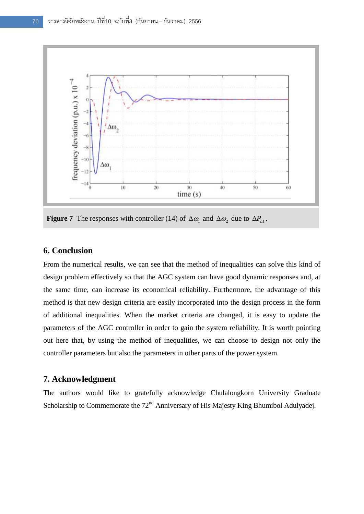

**Figure 7** The responses with controller (14) of  $\Delta\omega_1$  and  $\Delta\omega_2$  due to  $\Delta P_{L1}$ .

#### **6. Conclusion**

From the numerical results, we can see that the method of inequalities can solve this kind of design problem effectively so that the AGC system can have good dynamic responses and, at the same time, can increase its economical reliability. Furthermore, the advantage of this method is that new design criteria are easily incorporated into the design process in the form of additional inequalities. When the market criteria are changed, it is easy to update the parameters of the AGC controller in order to gain the system reliability. It is worth pointing out here that, by using the method of inequalities, we can choose to design not only the controller parameters but also the parameters in other parts of the power system.

#### **7. Acknowledgment**

The authors would like to gratefully acknowledge Chulalongkorn University Graduate Scholarship to Commemorate the  $72<sup>nd</sup>$  Anniversary of His Majesty King Bhumibol Adulyadej.